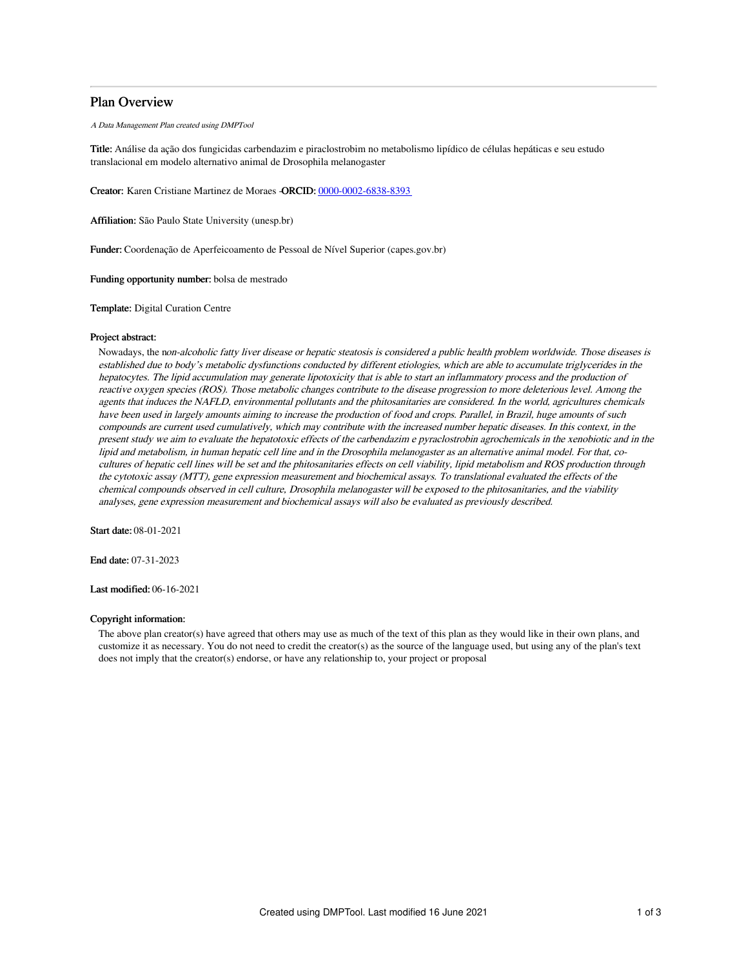# Plan Overview

A Data Management Plan created using DMPTool

Title: Análise da ação dos fungicidas carbendazim e piraclostrobim no metabolismo lipídico de células hepáticas e seu estudo translacional em modelo alternativo animal de Drosophila melanogaster

Creator: Karen Cristiane Martinez de Moraes -ORCID: [0000-0002-6838-8393](https://orcid.org/0000-0002-6838-8393)

Affiliation: São Paulo State University (unesp.br)

Funder: Coordenação de Aperfeicoamento de Pessoal de Nível Superior (capes.gov.br)

Funding opportunity number: bolsa de mestrado

Template: Digital Curation Centre

### Project abstract:

Nowadays, the non-alcoholic fatty liver disease or hepatic steatosis is considered <sup>a</sup> public health problem worldwide. Those diseases is established due to body's metabolic dysfunctions conducted by different etiologies, which are able to accumulate triglycerides in the hepatocytes. The lipid accumulation may generate lipotoxicity that is able to start an inflammatory process and the production of reactive oxygen species (ROS). Those metabolic changes contribute to the disease progression to more deleterious level. Among the agents that induces the NAFLD, environmental pollutants and the phitosanitaries are considered. In the world, agricultures chemicals have been used in largely amounts aiming to increase the production of food and crops. Parallel, in Brazil, huge amounts of such compounds are current used cumulatively, which may contribute with the increased number hepatic diseases. In this context, in the present study we aim to evaluate the hepatotoxic effects of the carbendazim <sup>e</sup> pyraclostrobin agrochemicals in the xenobiotic and in the lipid and metabolism, in human hepatic cell line and in the Drosophila melanogaster as an alternative animal model. For that, cocultures of hepatic cell lines will be set and the phitosanitaries effects on cell viability, lipid metabolism and ROS production through the cytotoxic assay (MTT), gene expression measurement and biochemical assays. To translational evaluated the effects of the chemical compounds observed in cell culture, Drosophila melanogaster will be exposed to the phitosanitaries, and the viability analyses, gene expression measurement and biochemical assays will also be evaluated as previously described.

Start date: 08-01-2021

End date: 07-31-2023

Last modified: 06-16-2021

# Copyright information:

The above plan creator(s) have agreed that others may use as much of the text of this plan as they would like in their own plans, and customize it as necessary. You do not need to credit the creator(s) as the source of the language used, but using any of the plan's text does not imply that the creator(s) endorse, or have any relationship to, your project or proposal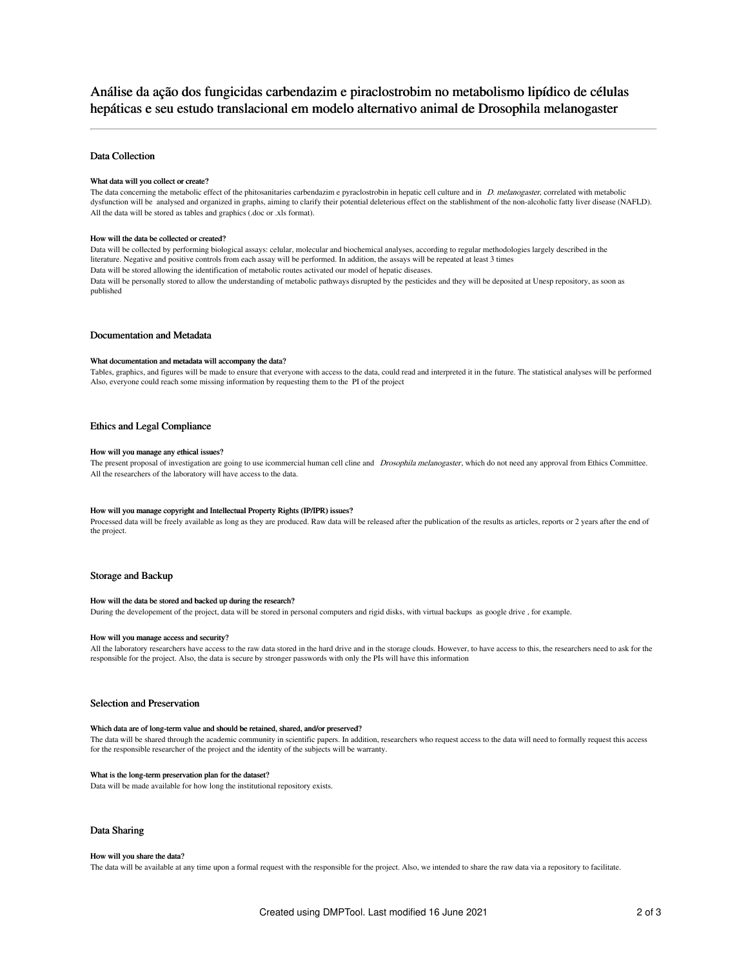# Análise da ação dos fungicidas carbendazim e piraclostrobim no metabolismo lipídico de células hepáticas e seu estudo translacional em modelo alternativo animal de Drosophila melanogaster

# Data Collection

### What data will you collect or create?

The data concerning the metabolic effect of the phitosanitaries carbendazim e pyraclostrobin in hepatic cell culture and in D. melanogaster, correlated with metabolic dysfunction will be analysed and organized in graphs, aiming to clarify their potential deleterious effect on the stablishment of the non-alcoholic fatty liver disease (NAFLD). All the data will be stored as tables and graphics (.doc or .xls format).

#### How will the data be collected or created?

Data will be collected by performing biological assays: celular, molecular and biochemical analyses, according to regular methodologies largely described in the literature. Negative and positive controls from each assay will be performed. In addition, the assays will be repeated at least 3 times Data will be stored allowing the identification of metabolic routes activated our model of hepatic diseases. Data will be personally stored to allow the understanding of metabolic pathways disrupted by the pesticides and they will be deposited at Unesp repository, as soon as published

# Documentation and Metadata

#### What documentation and metadata will accompany the data?

Tables, graphics, and figures will be made to ensure that everyone with access to the data, could read and interpreted it in the future. The statistical analyses will be performed Also, everyone could reach some missing information by requesting them to the PI of the project

### Ethics and Legal Compliance

#### How will you manage any ethical issues?

The present proposal of investigation are going to use icommercial human cell cline and Drosophila melanogaster, which do not need any approval from Ethics Committee. All the researchers of the laboratory will have access to the data.

### How will you manage copyright and Intellectual Property Rights (IP/IPR) issues?

Processed data will be freely available as long as they are produced. Raw data will be released after the publication of the results as articles, reports or 2 years after the end of the project.

# Storage and Backup

#### How will the data be stored and backed up during the research?

During the developement of the project, data will be stored in personal computers and rigid disks, with virtual backups as google drive , for example.

#### How will you manage access and security?

All the laboratory researchers have access to the raw data stored in the hard drive and in the storage clouds. However, to have access to this, the researchers need to ask for the responsible for the project. Also, the data is secure by stronger passwords with only the PIs will have this information

# Selection and Preservation

#### Which data are of long-term value and should be retained, shared, and/or preserved?

The data will be shared through the academic community in scientific papers. In addition, researchers who request access to the data will need to formally request this access for the responsible researcher of the project and the identity of the subjects will be warranty.

# What is the long-term preservation plan for the dataset?

Data will be made available for how long the institutional repository exists.

# Data Sharing

#### How will you share the data?

The data will be available at any time upon a formal request with the responsible for the project. Also, we intended to share the raw data via a repository to facilitate.